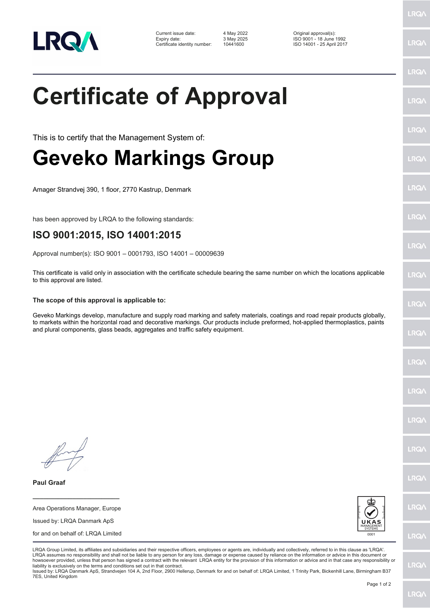

| Current issue date:          | 4 May 2022 | Original approval(s):     |
|------------------------------|------------|---------------------------|
| Expiry date:                 | 3 May 2025 | ISO 9001 - 18 June 1992   |
| Certificate identity number: | 10441600   | ISO 14001 - 25 April 2017 |

Certificate identity number: 10441600 ISO 14001 - 25 April 2017

## **Certificate of Approval**

This is to certify that the Management System of:

## **Geveko Markings Group**

Amager Strandvej 390, 1 floor, 2770 Kastrup, Denmark

has been approved by LRQA to the following standards:

## **ISO 9001:2015, ISO 14001:2015**

Approval number(s): ISO 9001 – 0001793, ISO 14001 – 00009639

This certificate is valid only in association with the certificate schedule bearing the same number on which the locations applicable to this approval are listed.

## **The scope of this approval is applicable to:**

Geveko Markings develop, manufacture and supply road marking and safety materials, coatings and road repair products globally, to markets within the horizontal road and decorative markings. Our products include preformed, hot-applied thermoplastics, paints and plural components, glass beads, aggregates and traffic safety equipment.

**Paul Graaf**

Area Operations Manager, Europe Issued by: LRQA Danmark ApS for and on behalf of: LRQA Limited

**\_\_\_\_\_\_\_\_\_\_\_\_\_\_\_\_\_\_\_\_\_\_\_\_**



LRQA Group Limited, its affiliates and subsidiaries and their respective officers, employees or agents are, individually and collectively, referred to in this clause as 'LRQA'. LRQA assumes no responsibility and shall not be liable to any person for any loss, damage or expense caused by reliance on the information or advice in this document or howsoever provided, unless that person has signed a contract with the relevant LRQA entity for the provision of this information or advice and in that case any responsibility or liability is exclusively on the terms and conditions set out in that contract.

Issued by: LRQA Danmark ApS, Strandvejen 104 A, 2nd Floor, 2900 Hellerup, Denmark for and on behalf of: LRQA Limited, 1 Trinity Park, Bickenhill Lane, Birmingham B37 7ES, United Kingdom

LRQ/

LRQ/

LRQ/

LRQ/

LRQ/

LRQ/

LRQ/

**LRQA** 

**LRO** 

LRQ/

LRQ/

LRQ/

LRQ/

LRQ/

**IRQA** 

LRQ/

LRQ/

**LRQ/** 

LRQ/